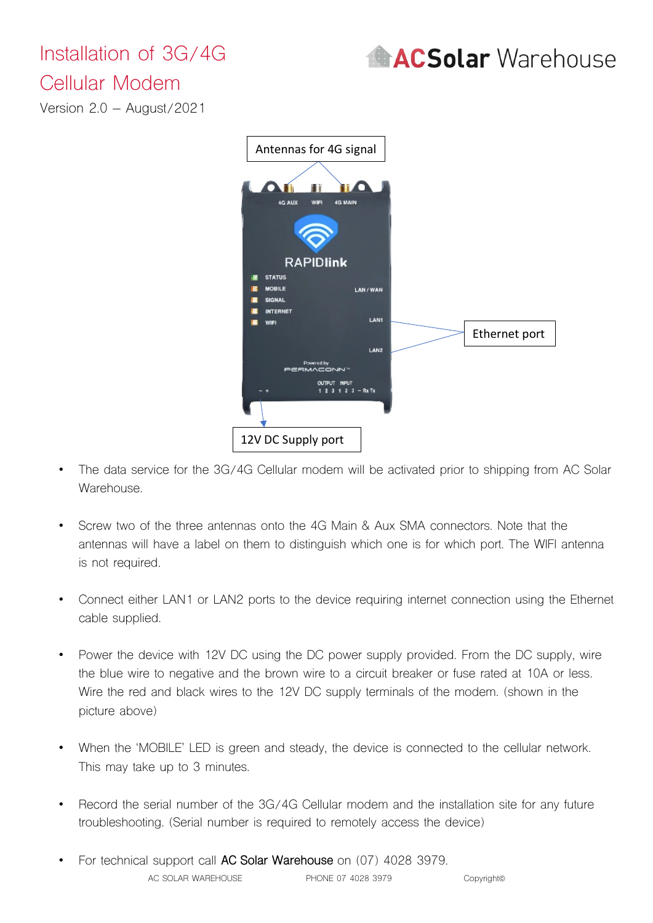## Installation of 3G/4G



## Cellular Modem

Version 2.0 – August/2021



- The data service for the 3G/4G Cellular modem will be activated prior to shipping from AC Solar Warehouse.
- Screw two of the three antennas onto the 4G Main & Aux SMA connectors. Note that the antennas will have a label on them to distinguish which one is for which port. The WIFI antenna is not required.
- Connect either LAN1 or LAN2 ports to the device requiring internet connection using the Ethernet cable supplied.
- Power the device with 12V DC using the DC power supply provided. From the DC supply, wire the blue wire to negative and the brown wire to a circuit breaker or fuse rated at 10A or less. Wire the red and black wires to the 12V DC supply terminals of the modem. (shown in the picture above)
- When the 'MOBILE' LED is green and steady, the device is connected to the cellular network. This may take up to 3 minutes.
- Record the serial number of the 3G/4G Cellular modem and the installation site for any future troubleshooting. (Serial number is required to remotely access the device)
- AC SOLAR WAREHOUSE PHONE 07 4028 3979 Copyright • For technical support call **AC Solar Warehouse** on (07) 4028 3979.